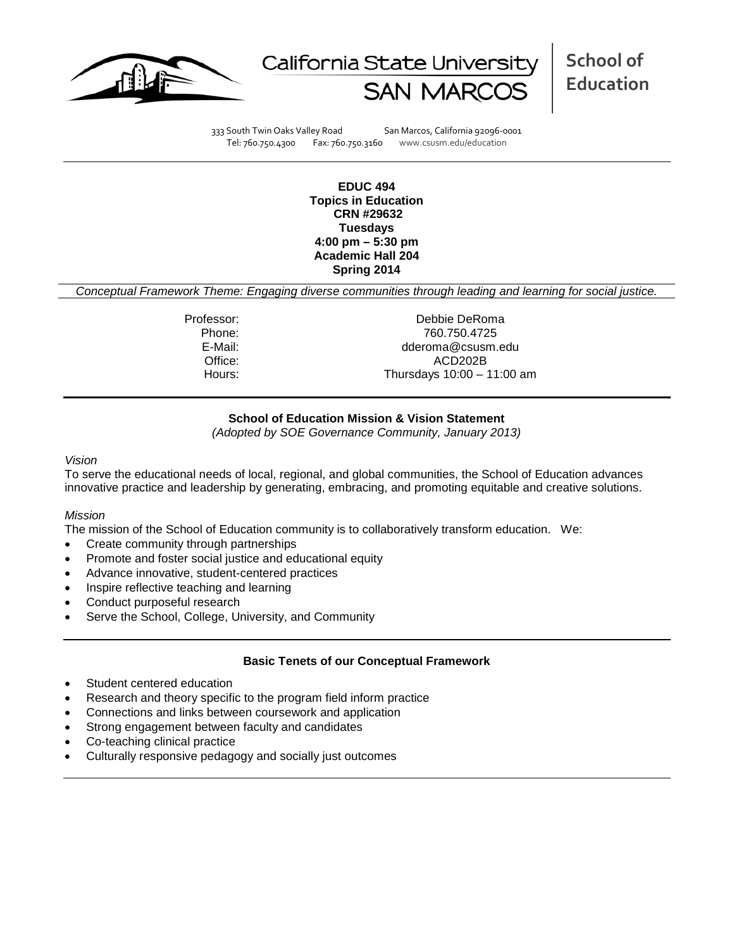



333 South Twin Oaks Valley Road San Marcos, California 92096-0001 Tel: 760.750.4300 Fax: 760.750.3160 www.csusm.edu/education

**EDUC 494 Topics in Education CRN #29632 Tuesdays 4:00 pm – 5:30 pm Academic Hall 204 Spring 2014** 

*Conceptual Framework Theme: Engaging diverse communities through leading and learning for social justice.*

Professor: Debbie DeRoma Phone: 760.750.4725<br>E-Mail: 760.750.4725 dderoma@csusm.edu Office: ACD202B Hours: Thursdays 10:00 – 11:00 am

### **School of Education Mission & Vision Statement**

*(Adopted by SOE Governance Community, January 2013)*

#### *Vision*

To serve the educational needs of local, regional, and global communities, the School of Education advances innovative practice and leadership by generating, embracing, and promoting equitable and creative solutions.

#### *Mission*

The mission of the School of Education community is to collaboratively transform education. We:

- Create community through partnerships
- Promote and foster social justice and educational equity
- Advance innovative, student-centered practices
- Inspire reflective teaching and learning
- Conduct purposeful research
- Serve the School, College, University, and Community

#### **Basic Tenets of our Conceptual Framework**

- Student centered education
- Research and theory specific to the program field inform practice
- Connections and links between coursework and application
- Strong engagement between faculty and candidates
- Co-teaching clinical practice
- Culturally responsive pedagogy and socially just outcomes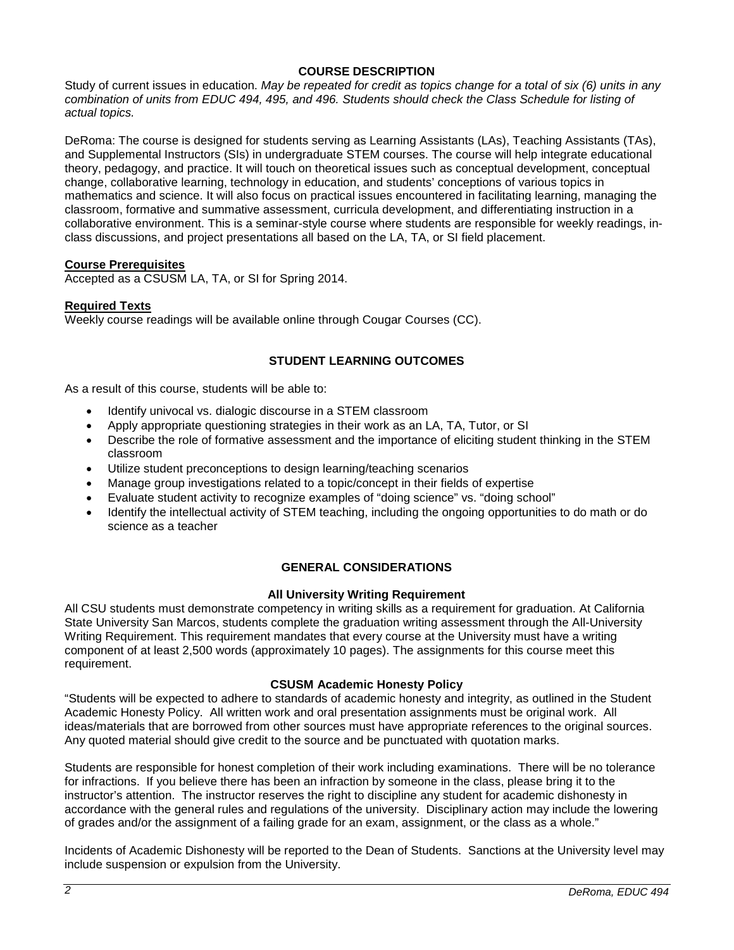# **COURSE DESCRIPTION**

Study of current issues in education. *May be repeated for credit as topics change for a total of six (6) units in any combination of units from EDUC 494, 495, and 496. Students should check the Class Schedule for listing of actual topics.*

DeRoma: The course is designed for students serving as Learning Assistants (LAs), Teaching Assistants (TAs), and Supplemental Instructors (SIs) in undergraduate STEM courses. The course will help integrate educational theory, pedagogy, and practice. It will touch on theoretical issues such as conceptual development, conceptual change, collaborative learning, technology in education, and students' conceptions of various topics in mathematics and science. It will also focus on practical issues encountered in facilitating learning, managing the classroom, formative and summative assessment, curricula development, and differentiating instruction in a collaborative environment. This is a seminar-style course where students are responsible for weekly readings, inclass discussions, and project presentations all based on the LA, TA, or SI field placement.

### **Course Prerequisites**

Accepted as a CSUSM LA, TA, or SI for Spring 2014.

### **Required Texts**

Weekly course readings will be available online through Cougar Courses (CC).

# **STUDENT LEARNING OUTCOMES**

As a result of this course, students will be able to:

- Identify univocal vs. dialogic discourse in a STEM classroom
- Apply appropriate questioning strategies in their work as an LA, TA, Tutor, or SI
- Describe the role of formative assessment and the importance of eliciting student thinking in the STEM classroom
- Utilize student preconceptions to design learning/teaching scenarios
- Manage group investigations related to a topic/concept in their fields of expertise
- Evaluate student activity to recognize examples of "doing science" vs. "doing school"
- Identify the intellectual activity of STEM teaching, including the ongoing opportunities to do math or do science as a teacher

# **GENERAL CONSIDERATIONS**

#### **All University Writing Requirement**

All CSU students must demonstrate competency in writing skills as a requirement for graduation. At California State University San Marcos, students complete the graduation writing assessment through the All-University Writing Requirement. This requirement mandates that every course at the University must have a writing component of at least 2,500 words (approximately 10 pages). The assignments for this course meet this requirement.

#### **CSUSM Academic Honesty Policy**

"Students will be expected to adhere to standards of academic honesty and integrity, as outlined in the Student Academic Honesty Policy. All written work and oral presentation assignments must be original work. All ideas/materials that are borrowed from other sources must have appropriate references to the original sources. Any quoted material should give credit to the source and be punctuated with quotation marks.

Students are responsible for honest completion of their work including examinations. There will be no tolerance for infractions. If you believe there has been an infraction by someone in the class, please bring it to the instructor's attention. The instructor reserves the right to discipline any student for academic dishonesty in accordance with the general rules and regulations of the university. Disciplinary action may include the lowering of grades and/or the assignment of a failing grade for an exam, assignment, or the class as a whole."

Incidents of Academic Dishonesty will be reported to the Dean of Students. Sanctions at the University level may include suspension or expulsion from the University.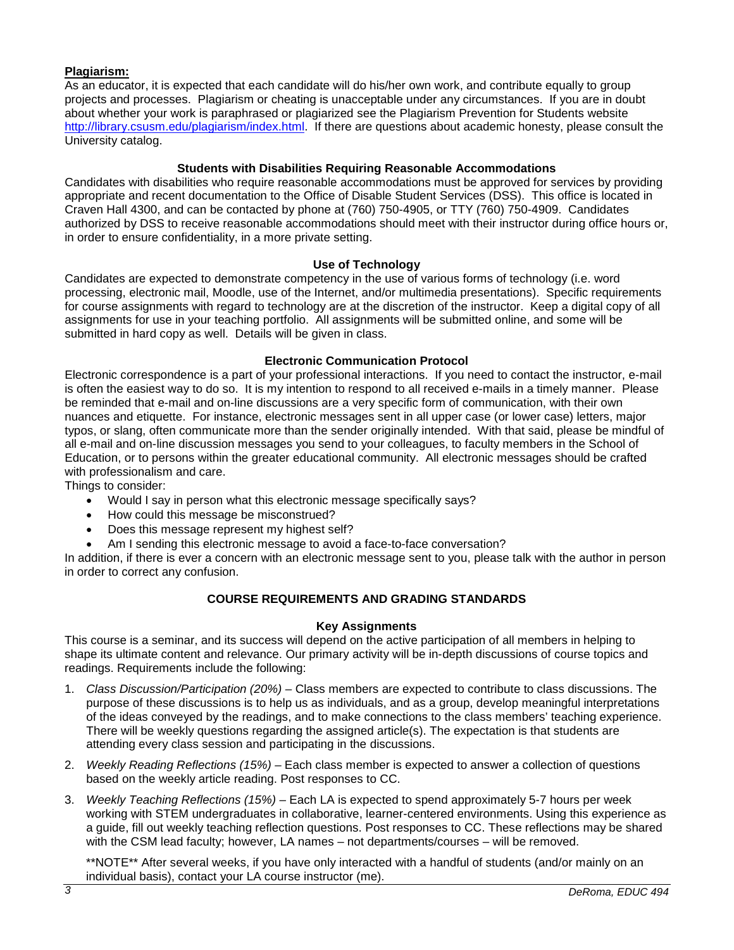# **Plagiarism:**

As an educator, it is expected that each candidate will do his/her own work, and contribute equally to group projects and processes. Plagiarism or cheating is unacceptable under any circumstances. If you are in doubt about whether your work is paraphrased or plagiarized see the Plagiarism Prevention for Students website [http://library.csusm.edu/plagiarism/index.html.](http://library.csusm.edu/plagiarism/index.html) If there are questions about academic honesty, please consult the University catalog.

# **Students with Disabilities Requiring Reasonable Accommodations**

Candidates with disabilities who require reasonable accommodations must be approved for services by providing appropriate and recent documentation to the Office of Disable Student Services (DSS). This office is located in Craven Hall 4300, and can be contacted by phone at (760) 750-4905, or TTY (760) 750-4909. Candidates authorized by DSS to receive reasonable accommodations should meet with their instructor during office hours or, in order to ensure confidentiality, in a more private setting.

# **Use of Technology**

Candidates are expected to demonstrate competency in the use of various forms of technology (i.e. word processing, electronic mail, Moodle, use of the Internet, and/or multimedia presentations). Specific requirements for course assignments with regard to technology are at the discretion of the instructor. Keep a digital copy of all assignments for use in your teaching portfolio. All assignments will be submitted online, and some will be submitted in hard copy as well. Details will be given in class.

### **Electronic Communication Protocol**

Electronic correspondence is a part of your professional interactions. If you need to contact the instructor, e-mail is often the easiest way to do so. It is my intention to respond to all received e-mails in a timely manner. Please be reminded that e-mail and on-line discussions are a very specific form of communication, with their own nuances and etiquette. For instance, electronic messages sent in all upper case (or lower case) letters, major typos, or slang, often communicate more than the sender originally intended. With that said, please be mindful of all e-mail and on-line discussion messages you send to your colleagues, to faculty members in the School of Education, or to persons within the greater educational community. All electronic messages should be crafted with professionalism and care.

Things to consider:

- Would I say in person what this electronic message specifically says?
- How could this message be misconstrued?
- Does this message represent my highest self?
- Am I sending this electronic message to avoid a face-to-face conversation?

In addition, if there is ever a concern with an electronic message sent to you, please talk with the author in person in order to correct any confusion.

# **COURSE REQUIREMENTS AND GRADING STANDARDS**

#### **Key Assignments**

This course is a seminar, and its success will depend on the active participation of all members in helping to shape its ultimate content and relevance. Our primary activity will be in-depth discussions of course topics and readings. Requirements include the following:

- 1. *Class Discussion/Participation (20%) –* Class members are expected to contribute to class discussions. The purpose of these discussions is to help us as individuals, and as a group, develop meaningful interpretations of the ideas conveyed by the readings, and to make connections to the class members' teaching experience. There will be weekly questions regarding the assigned article(s). The expectation is that students are attending every class session and participating in the discussions.
- 2. *Weekly Reading Reflections (15%) –* Each class member is expected to answer a collection of questions based on the weekly article reading. Post responses to CC.
- 3. *Weekly Teaching Reflections (15%) –* Each LA is expected to spend approximately 5-7 hours per week working with STEM undergraduates in collaborative, learner-centered environments. Using this experience as a guide, fill out weekly teaching reflection questions. Post responses to CC. These reflections may be shared with the CSM lead faculty; however, LA names – not departments/courses – will be removed.

\*\*NOTE\*\* After several weeks, if you have only interacted with a handful of students (and/or mainly on an individual basis), contact your LA course instructor (me).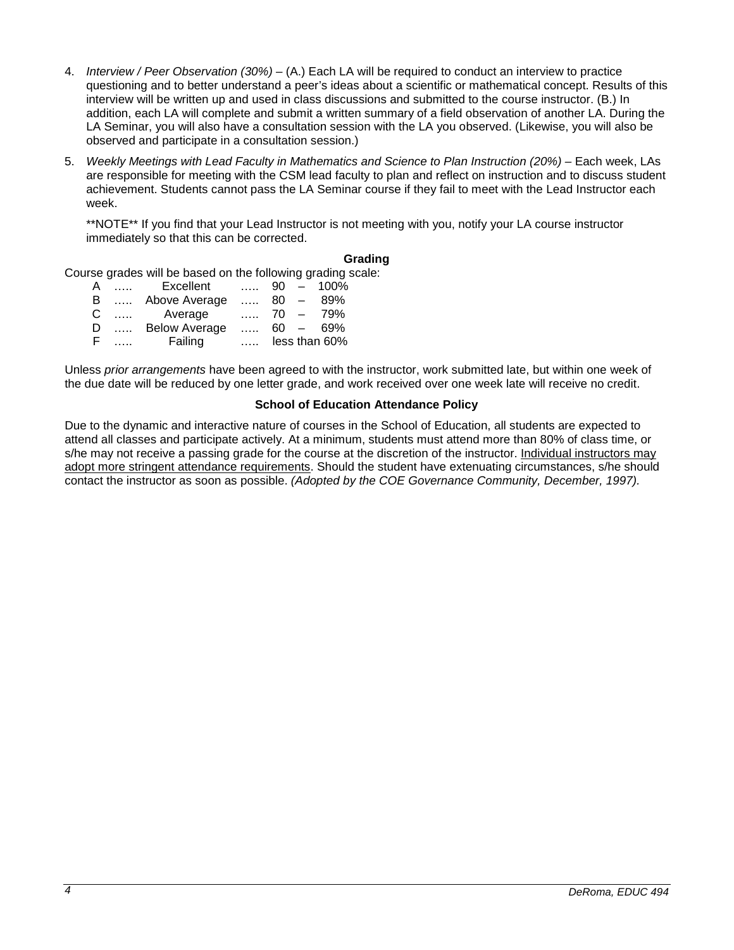- 4. *Interview / Peer Observation (30%) –* (A.) Each LA will be required to conduct an interview to practice questioning and to better understand a peer's ideas about a scientific or mathematical concept. Results of this interview will be written up and used in class discussions and submitted to the course instructor. (B.) In addition, each LA will complete and submit a written summary of a field observation of another LA. During the LA Seminar, you will also have a consultation session with the LA you observed. (Likewise, you will also be observed and participate in a consultation session.)
- 5. *Weekly Meetings with Lead Faculty in Mathematics and Science to Plan Instruction (20%) –* Each week, LAs are responsible for meeting with the CSM lead faculty to plan and reflect on instruction and to discuss student achievement. Students cannot pass the LA Seminar course if they fail to meet with the Lead Instructor each week.

\*\*NOTE\*\* If you find that your Lead Instructor is not meeting with you, notify your LA course instructor immediately so that this can be corrected.

# **Grading**

Course grades will be based on the following grading scale:

| A  | $\mathbf{r}$ and $\mathbf{r}$ | Excellent            |          |      | $90 - 100\%$      |
|----|-------------------------------|----------------------|----------|------|-------------------|
| B  |                               | Above Average        |          | 80 — | -89%              |
| C. |                               | Average              |          |      | $\ldots$ 70 - 79% |
| D  |                               | <b>Below Average</b> |          |      | $60 - 69%$        |
| F. |                               | Failing              | $\cdots$ |      | less than 60%     |

Unless *prior arrangements* have been agreed to with the instructor, work submitted late, but within one week of the due date will be reduced by one letter grade, and work received over one week late will receive no credit.

#### **School of Education Attendance Policy**

Due to the dynamic and interactive nature of courses in the School of Education, all students are expected to attend all classes and participate actively. At a minimum, students must attend more than 80% of class time, or s/he may not receive a passing grade for the course at the discretion of the instructor. Individual instructors may adopt more stringent attendance requirements. Should the student have extenuating circumstances, s/he should contact the instructor as soon as possible. *(Adopted by the COE Governance Community, December, 1997).*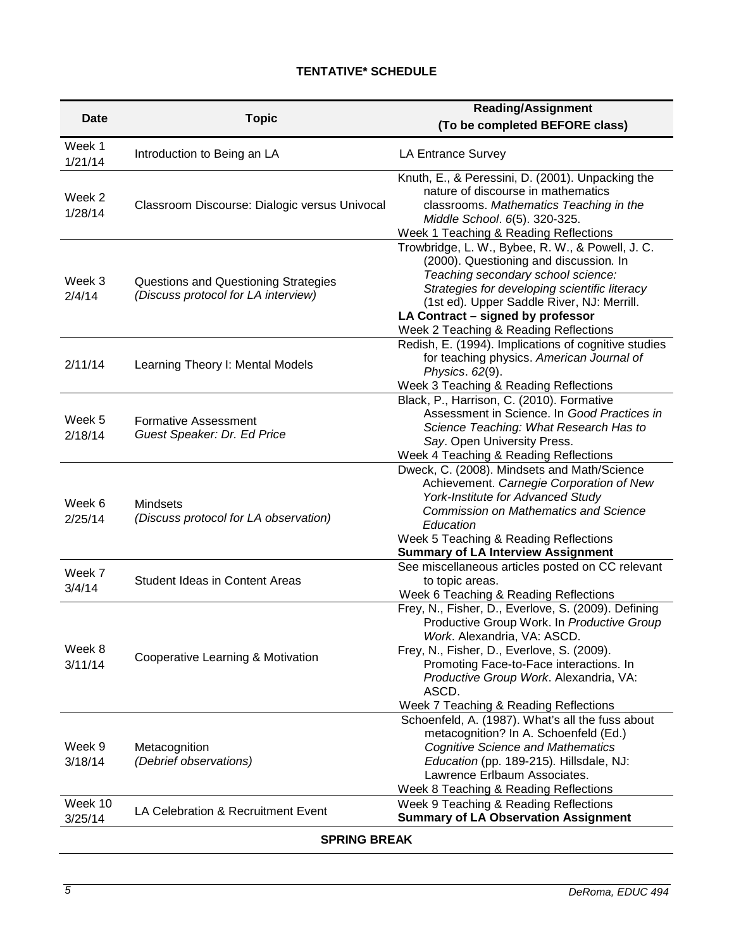# **TENTATIVE\* SCHEDULE**

| Date                | <b>Topic</b>                                                                       | <b>Reading/Assignment</b><br>(To be completed BEFORE class)                                                                                                                                                                                                                                                          |  |  |  |  |
|---------------------|------------------------------------------------------------------------------------|----------------------------------------------------------------------------------------------------------------------------------------------------------------------------------------------------------------------------------------------------------------------------------------------------------------------|--|--|--|--|
| Week 1<br>1/21/14   | Introduction to Being an LA                                                        | LA Entrance Survey                                                                                                                                                                                                                                                                                                   |  |  |  |  |
| Week 2<br>1/28/14   | Classroom Discourse: Dialogic versus Univocal                                      | Knuth, E., & Peressini, D. (2001). Unpacking the<br>nature of discourse in mathematics<br>classrooms. Mathematics Teaching in the<br>Middle School. 6(5). 320-325.<br>Week 1 Teaching & Reading Reflections                                                                                                          |  |  |  |  |
| Week 3<br>2/4/14    | <b>Questions and Questioning Strategies</b><br>(Discuss protocol for LA interview) | Trowbridge, L. W., Bybee, R. W., & Powell, J. C.<br>(2000). Questioning and discussion. In<br>Teaching secondary school science:<br>Strategies for developing scientific literacy<br>(1st ed). Upper Saddle River, NJ: Merrill.<br>LA Contract - signed by professor<br>Week 2 Teaching & Reading Reflections        |  |  |  |  |
| 2/11/14             | Learning Theory I: Mental Models                                                   | Redish, E. (1994). Implications of cognitive studies<br>for teaching physics. American Journal of<br>Physics. 62(9).<br>Week 3 Teaching & Reading Reflections                                                                                                                                                        |  |  |  |  |
| Week 5<br>2/18/14   | <b>Formative Assessment</b><br>Guest Speaker: Dr. Ed Price                         | Black, P., Harrison, C. (2010). Formative<br>Assessment in Science. In Good Practices in<br>Science Teaching: What Research Has to<br>Say. Open University Press.<br>Week 4 Teaching & Reading Reflections                                                                                                           |  |  |  |  |
| Week 6<br>2/25/14   | <b>Mindsets</b><br>(Discuss protocol for LA observation)                           | Dweck, C. (2008). Mindsets and Math/Science<br>Achievement. Carnegie Corporation of New<br>York-Institute for Advanced Study<br><b>Commission on Mathematics and Science</b><br>Education<br>Week 5 Teaching & Reading Reflections<br><b>Summary of LA Interview Assignment</b>                                      |  |  |  |  |
| Week 7<br>3/4/14    | <b>Student Ideas in Content Areas</b>                                              | See miscellaneous articles posted on CC relevant<br>to topic areas.<br>Week 6 Teaching & Reading Reflections                                                                                                                                                                                                         |  |  |  |  |
| Week 8<br>3/11/14   | Cooperative Learning & Motivation                                                  | Frey, N., Fisher, D., Everlove, S. (2009). Defining<br>Productive Group Work. In Productive Group<br>Work. Alexandria, VA: ASCD<br>Frey, N., Fisher, D., Everlove, S. (2009).<br>Promoting Face-to-Face interactions. In<br>Productive Group Work. Alexandria, VA:<br>ASCD.<br>Week 7 Teaching & Reading Reflections |  |  |  |  |
| Week 9<br>3/18/14   | Metacognition<br>(Debrief observations)                                            | Schoenfeld, A. (1987). What's all the fuss about<br>metacognition? In A. Schoenfeld (Ed.)<br><b>Cognitive Science and Mathematics</b><br>Education (pp. 189-215). Hillsdale, NJ:<br>Lawrence Erlbaum Associates.<br>Week 8 Teaching & Reading Reflections                                                            |  |  |  |  |
| Week 10<br>3/25/14  | LA Celebration & Recruitment Event                                                 | Week 9 Teaching & Reading Reflections<br><b>Summary of LA Observation Assignment</b>                                                                                                                                                                                                                                 |  |  |  |  |
| <b>SPRING BREAK</b> |                                                                                    |                                                                                                                                                                                                                                                                                                                      |  |  |  |  |